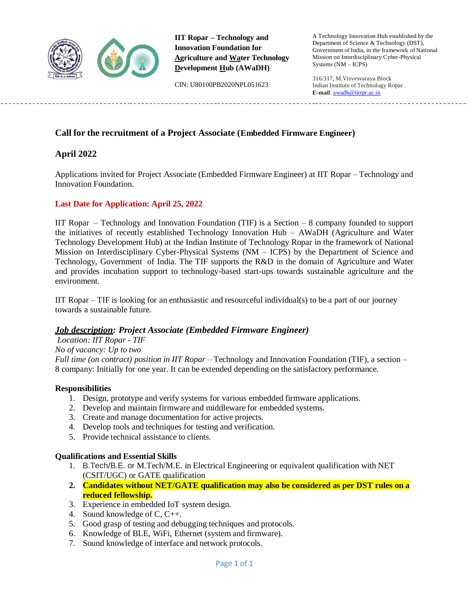

**IIT Ropar – Technology and Innovation Foundation for Agriculture and Water Technology Development Hub (AWaDH)**

CIN: U80100PB2020NPL051623

A Technology Innovation Hub established by the Department of Science & Technology (DST), Government of India, in the framework of National Mission on Interdisciplinary Cyber-Physical Systems (NM – ICPS)

316/317, M.Visvesvaraya Block Indian Institute of Technology Ropar **E-mail**: [awadh@iitrpr.ac.in](mailto:awadh@iitrpr.ac.in)

## **Call for the recruitment of a Project Associate (Embedded Firmware Engineer)**

### **April 2022**

Applications invited for Project Associate (Embedded Firmware Engineer) at IIT Ropar – Technology and Innovation Foundation.

#### **Last Date for Application: April 25, 2022**

IIT Ropar – Technology and Innovation Foundation (TIF) is a Section – 8 company founded to support the initiatives of recently established Technology Innovation Hub – AWaDH (Agriculture and Water Technology Development Hub) at the Indian Institute of Technology Ropar in the framework of National Mission on Interdisciplinary Cyber-Physical Systems (NM – ICPS) by the Department of Science and Technology, Government of India. The TIF supports the R&D in the domain of Agriculture and Water and provides incubation support to technology-based start-ups towards sustainable agriculture and the environment.

IIT Ropar – TIF is looking for an enthusiastic and resourceful individual(s) to be a part of our journey towards a sustainable future.

#### *Job description: Project Associate (Embedded Firmware Engineer)*

#### *Location: IIT Ropar - TIF*

#### *No of vacancy: Up to two*

*Full time (on contract) position in IIT Ropar –* Technology and Innovation Foundation (TIF), a section – 8 company: Initially for one year. It can be extended depending on the satisfactory performance.

#### **Responsibilities**

- 1. Design, prototype and verify systems for various embedded firmware applications.
- 2. Develop and maintain firmware and middleware for embedded systems.
- 3. Create and manage documentation for active projects.
- 4. Develop tools and techniques for testing and verification.
- 5. Provide technical assistance to clients.

#### **Qualifications and Essential Skills**

- 1. B.Tech/B.E. or M.Tech/M.E. in Electrical Engineering or equivalent qualification with NET (CSIT/UGC) or GATE qualification
- **2. Candidates without NET/GATE qualification may also be considered as per DST rules on a reduced fellowship.**
- 3. Experience in embedded IoT system design.
- 4. Sound knowledge of C, C++.
- 5. Good grasp of testing and debugging techniques and protocols.
- 6. Knowledge of BLE, WiFi, Ethernet (system and firmware).
- 7. Sound knowledge of interface and network protocols.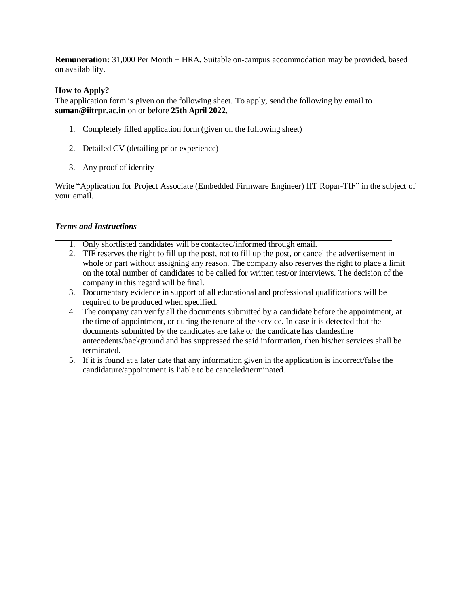**Remuneration:** 31,000 Per Month + HRA**.** Suitable on-campus accommodation may be provided, based on availability.

#### **How to Apply?**

The application form is given on the following sheet. To apply, send the following by email to **[suman@iitrpr.ac.in](mailto:suman@iitrpr.ac.in)** on or before **25th April 2022**,

- 1. Completely filled application form (given on the following sheet)
- 2. Detailed CV (detailing prior experience)
- 3. Any proof of identity

Write "Application for Project Associate (Embedded Firmware Engineer) IIT Ropar-TIF" in the subject of your email.

#### *Terms and Instructions*

- 1. Only shortlisted candidates will be contacted/informed through email.
- 2. TIF reserves the right to fill up the post, not to fill up the post, or cancel the advertisement in whole or part without assigning any reason. The company also reserves the right to place a limit on the total number of candidates to be called for written test/or interviews. The decision of the company in this regard will be final.
- 3. Documentary evidence in support of all educational and professional qualifications will be required to be produced when specified.
- 4. The company can verify all the documents submitted by a candidate before the appointment, at the time of appointment, or during the tenure of the service. In case it is detected that the documents submitted by the candidates are fake or the candidate has clandestine antecedents/background and has suppressed the said information, then his/her services shall be terminated.
- 5. If it is found at a later date that any information given in the application is incorrect/false the candidature/appointment is liable to be canceled/terminated.